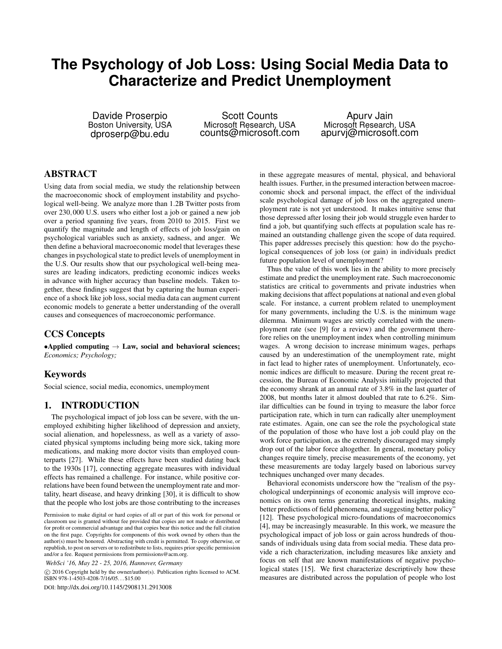# **The Psychology of Job Loss: Using Social Media Data to Characterize and Predict Unemployment**

Davide Proserpio Boston University, USA dproserp@bu.edu

Scott Counts Microsoft Research, USA counts@microsoft.com

Apurv Jain Microsoft Research, USA apurvj@microsoft.com

# ABSTRACT

Using data from social media, we study the relationship between the macroeconomic shock of employment instability and psychological well-being. We analyze more than 1.2B Twitter posts from over 230,000 U.S. users who either lost a job or gained a new job over a period spanning five years, from 2010 to 2015. First we quantify the magnitude and length of effects of job loss/gain on psychological variables such as anxiety, sadness, and anger. We then define a behavioral macroeconomic model that leverages these changes in psychological state to predict levels of unemployment in the U.S. Our results show that our psychological well-being measures are leading indicators, predicting economic indices weeks in advance with higher accuracy than baseline models. Taken together, these findings suggest that by capturing the human experience of a shock like job loss, social media data can augment current economic models to generate a better understanding of the overall causes and consequences of macroeconomic performance.

# CCS Concepts

•Applied computing  $\rightarrow$  Law, social and behavioral sciences; *Economics; Psychology;*

# Keywords

Social science, social media, economics, unemployment

# 1. INTRODUCTION

The psychological impact of job loss can be severe, with the unemployed exhibiting higher likelihood of depression and anxiety, social alienation, and hopelessness, as well as a variety of associated physical symptoms including being more sick, taking more medications, and making more doctor visits than employed counterparts [27]. While these effects have been studied dating back to the 1930s [17], connecting aggregate measures with individual effects has remained a challenge. For instance, while positive correlations have been found between the unemployment rate and mortality, heart disease, and heavy drinking [30], it is difficult to show that the people who lost jobs are those contributing to the increases

 c 2016 Copyright held by the owner/author(s). Publication rights licensed to ACM. ISBN 978-1-4503-4208-7/16/05. . . \$15.00

DOI: http://dx.doi.org/10.1145/2908131.2913008

in these aggregate measures of mental, physical, and behavioral health issues. Further, in the presumed interaction between macroeconomic shock and personal impact, the effect of the individual scale psychological damage of job loss on the aggregated unemployment rate is not yet understood. It makes intuitive sense that those depressed after losing their job would struggle even harder to find a job, but quantifying such effects at population scale has remained an outstanding challenge given the scope of data required. This paper addresses precisely this question: how do the psychological consequences of job loss (or gain) in individuals predict future population level of unemployment?

Thus the value of this work lies in the ability to more precisely estimate and predict the unemployment rate. Such macroeconomic statistics are critical to governments and private industries when making decisions that affect populations at national and even global scale. For instance, a current problem related to unemployment for many governments, including the U.S. is the minimum wage dilemma. Minimum wages are strictly correlated with the unemployment rate (see [9] for a review) and the government therefore relies on the unemployment index when controlling minimum wages. A wrong decision to increase minimum wages, perhaps caused by an underestimation of the unemployment rate, might in fact lead to higher rates of unemployment. Unfortunately, economic indices are difficult to measure. During the recent great recession, the Bureau of Economic Analysis initially projected that the economy shrank at an annual rate of 3.8% in the last quarter of 2008, but months later it almost doubled that rate to 6.2%. Similar difficulties can be found in trying to measure the labor force participation rate, which in turn can radically alter unemployment rate estimates. Again, one can see the role the psychological state of the population of those who have lost a job could play on the work force participation, as the extremely discouraged may simply drop out of the labor force altogether. In general, monetary policy changes require timely, precise measurements of the economy, yet these measurements are today largely based on laborious survey techniques unchanged over many decades.

Behavioral economists underscore how the "realism of the psychological underpinnings of economic analysis will improve economics on its own terms generating theoretical insights, making better predictions of field phenomena, and suggesting better policy" [12]. These psychological micro-foundations of macroeconomics [4], may be increasingly measurable. In this work, we measure the psychological impact of job loss or gain across hundreds of thousands of individuals using data from social media. These data provide a rich characterization, including measures like anxiety and focus on self that are known manifestations of negative psychological states [15]. We first characterize descriptively how these measures are distributed across the population of people who lost

Permission to make digital or hard copies of all or part of this work for personal or classroom use is granted without fee provided that copies are not made or distributed for profit or commercial advantage and that copies bear this notice and the full citation on the first page. Copyrights for components of this work owned by others than the author(s) must be honored. Abstracting with credit is permitted. To copy otherwise, or republish, to post on servers or to redistribute to lists, requires prior specific permission and/or a fee. Request permissions from permissions@acm.org.

*WebSci '16, May 22 - 25, 2016, Hannover, Germany*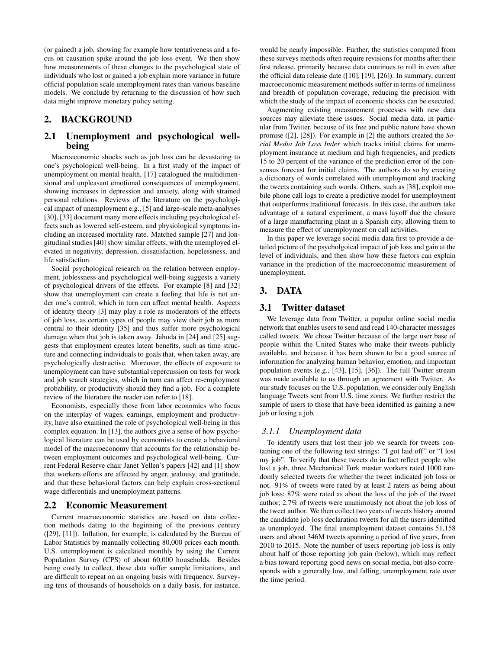(or gained) a job, showing for example how tentativeness and a focus on causation spike around the job loss event. We then show how measurements of these changes to the psychological state of individuals who lost or gained a job explain more variance in future official population scale unemployment rates than various baseline models. We conclude by returning to the discussion of how such data might improve monetary policy setting.

# 2. BACKGROUND

# 2.1 Unemployment and psychological wellbeing

Macroeconomic shocks such as job loss can be devastating to one's psychological well-being. In a first study of the impact of unemployment on mental health, [17] catalogued the multidimensional and unpleasant emotional consequences of unemployment, showing increases in depression and anxiety, along with strained personal relations. Reviews of the literature on the psychological impact of unemployment e.g., [5] and large-scale meta-analyses [30], [33] document many more effects including psychological effects such as lowered self-esteem, and physiological symptoms including an increased mortality rate. Matched sample [27] and longitudinal studies [40] show similar effects, with the unemployed elevated in negativity, depression, dissatisfaction, hopelessness, and life satisfaction.

Social psychological research on the relation between employment, joblessness and psychological well-being suggests a variety of psychological drivers of the effects. For example [8] and [32] show that unemployment can create a feeling that life is not under one's control, which in turn can affect mental health. Aspects of identity theory [3] may play a role as moderators of the effects of job loss, as certain types of people may view their job as more central to their identity [35] and thus suffer more psychological damage when that job is taken away. Jahoda in [24] and [25] suggests that employment creates latent benefits, such as time structure and connecting individuals to goals that, when taken away, are psychologically destructive. Moreover, the effects of exposure to unemployment can have substantial repercussion on tests for work and job search strategies, which in turn can affect re-employment probability, or productivity should they find a job. For a complete review of the literature the reader can refer to [18].

Economists, especially those from labor economics who focus on the interplay of wages, earnings, employment and productivity, have also examined the role of psychological well-being in this complex equation. In [13], the authors give a sense of how psychological literature can be used by economists to create a behavioral model of the macroeconomy that accounts for the relationship between employment outcomes and psychological well-being. Current Federal Reserve chair Janet Yellen's papers [42] and [1] show that workers efforts are affected by anger, jealousy, and gratitude, and that these behavioral factors can help explain cross-sectional wage differentials and unemployment patterns.

### 2.2 Economic Measurement

Current macroeconomic statistics are based on data collection methods dating to the beginning of the previous century ([29], [11]). Inflation, for example, is calculated by the Bureau of Labor Statistics by manually collecting 80,000 prices each month. U.S. unemployment is calculated monthly by using the Current Population Survey (CPS) of about 60,000 households. Besides being costly to collect, these data suffer sample limitations, and are difficult to repeat on an ongoing basis with frequency. Surveying tens of thousands of households on a daily basis, for instance,

would be nearly impossible. Further, the statistics computed from these surveys methods often require revisions for months after their first release, primarily because data continues to roll in even after the official data release date ([10], [19], [26]). In summary, current macroeconomic measurement methods suffer in terms of timeliness and breadth of population coverage, reducing the precision with which the study of the impact of economic shocks can be executed.

Augmenting existing measurement processes with new data sources may alleviate these issues. Social media data, in particular from Twitter, because of its free and public nature have shown promise ([2], [28]). For example in [2] the authors created the *Social Media Job Loss Index* which tracks initial claims for unemployment insurance at medium and high frequencies, and predicts 15 to 20 percent of the variance of the prediction error of the consensus forecast for initial claims. The authors do so by creating a dictionary of words correlated with unemployment and tracking the tweets containing such words. Others, such as [38], exploit mobile phone call logs to create a predictive model for unemployment that outperforms traditional forecasts. In this case, the authors take advantage of a natural experiment, a mass layoff due the closure of a large manufacturing plant in a Spanish city, allowing them to measure the effect of unemployment on call activities.

In this paper we leverage social media data first to provide a detailed picture of the psycholgoical impact of job loss and gain at the level of individuals, and then show how these factors can explain variance in the prediction of the macroeconomic measurement of unemployment.

# 3. DATA

### 3.1 Twitter dataset

We leverage data from Twitter, a popular online social media network that enables users to send and read 140-character messages called tweets. We chose Twitter because of the large user base of people within the United States who make their tweets publicly available, and because it has been shown to be a good source of information for analyzing human behavior, emotion, and important population events (e.g., [43], [15], [36]). The full Twitter stream was made available to us through an agreement with Twitter. As our study focuses on the U.S. population, we consider only English language Tweets sent from U.S. time zones. We further restrict the sample of users to those that have been identified as gaining a new job or losing a job.

#### *3.1.1 Unemployment data*

To identify users that lost their job we search for tweets containing one of the following text strings: "I got laid off" or "I lost my job". To verify that these tweets do in fact reflect people who lost a job, three Mechanical Turk master workers rated 1000 randomly selected tweets for whether the tweet indicated job loss or not. 91% of tweets were rated by at least 2 raters as being about job loss; 87% were rated as about the loss of the job of the tweet author; 2.7% of tweets were unanimously not about the job loss of the tweet author. We then collect two years of tweets history around the candidate job loss declaration tweets for all the users identified as unemployed. The final unemployment dataset contains 51,158 users and about 346M tweets spanning a period of five years, from 2010 to 2015. Note the number of users reporting job loss is only about half of those reporting job gain (below), which may reflect a bias toward reporting good news on social media, but also corresponds with a generally low, and falling, unemployment rate over the time period.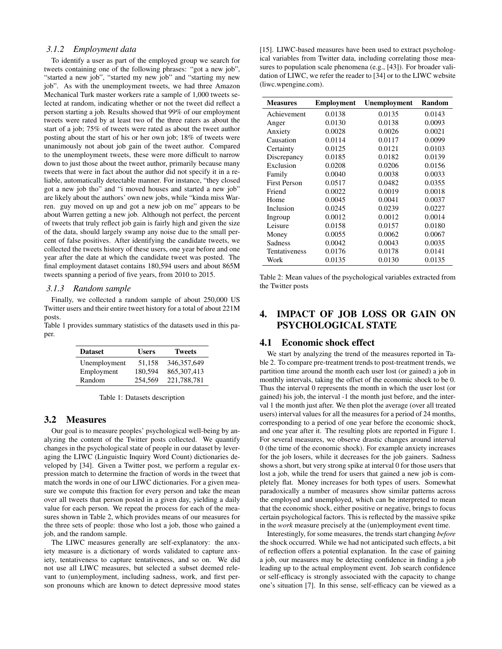# *3.1.2 Employment data*

To identify a user as part of the employed group we search for tweets containing one of the following phrases: "got a new job", "started a new job", "started my new job" and "starting my new job". As with the unemployment tweets, we had three Amazon Mechanical Turk master workers rate a sample of 1,000 tweets selected at random, indicating whether or not the tweet did reflect a person starting a job. Results showed that 99% of our employment tweets were rated by at least two of the three raters as about the start of a job; 75% of tweets were rated as about the tweet author posting about the start of his or her own job; 18% of tweets were unanimously not about job gain of the tweet author. Compared to the unemployment tweets, these were more difficult to narrow down to just those about the tweet author, primarily because many tweets that were in fact about the author did not specify it in a reliable, automatically detectable manner. For instance, "they closed got a new job tho" and "i moved houses and started a new job" are likely about the authors' own new jobs, while "kinda miss Warren. guy moved on up and got a new job on me" appears to be about Warren getting a new job. Although not perfect, the percent of tweets that truly reflect job gain is fairly high and given the size of the data, should largely swamp any noise due to the small percent of false positives. After identifying the candidate tweets, we collected the tweets history of these users, one year before and one year after the date at which the candidate tweet was posted. The final employment dataset contains 180,594 users and about 865M tweets spanning a period of five years, from 2010 to 2015.

#### *3.1.3 Random sample*

Finally, we collected a random sample of about 250,000 US Twitter users and their entire tweet history for a total of about 221M posts.

Table 1 provides summary statistics of the datasets used in this paper.

| <b>Dataset</b> | <b>Users</b> | <b>Tweets</b> |
|----------------|--------------|---------------|
| Unemployment   | 51.158       | 346, 357, 649 |
| Employment     | 180.594      | 865, 307, 413 |
| Random         | 254.569      | 221,788,781   |

Table 1: Datasets description

### 3.2 Measures

Our goal is to measure peoples' psychological well-being by analyzing the content of the Twitter posts collected. We quantify changes in the psychological state of people in our dataset by leveraging the LIWC (Linguistic Inquiry Word Count) dictionaries developed by [34]. Given a Twitter post, we perform a regular expression match to determine the fraction of words in the tweet that match the words in one of our LIWC dictionaries. For a given measure we compute this fraction for every person and take the mean over all tweets that person posted in a given day, yielding a daily value for each person. We repeat the process for each of the measures shown in Table 2, which provides means of our measures for the three sets of people: those who lost a job, those who gained a job, and the random sample.

The LIWC measures generally are self-explanatory: the anxiety measure is a dictionary of words validated to capture anxiety, tentativeness to capture tentativeness, and so on. We did not use all LIWC measures, but selected a subset deemed relevant to (un)employment, including sadness, work, and first person pronouns which are known to detect depressive mood states

[15]. LIWC-based measures have been used to extract psychological variables from Twitter data, including correlating those measures to population scale phenomena (e.g., [43]). For broader validation of LIWC, we refer the reader to [34] or to the LIWC website (liwc.wpengine.com).

| <b>Measures</b>     | <b>Employment</b> | <b>Unemployment</b> | Random |
|---------------------|-------------------|---------------------|--------|
| Achievement         | 0.0138            | 0.0135              | 0.0143 |
| Anger               | 0.0130            | 0.0138              | 0.0093 |
| Anxiety             | 0.0028            | 0.0026              | 0.0021 |
| Causation           | 0.0114            | 0.0117              | 0.0099 |
| Certainty           | 0.0125            | 0.0121              | 0.0103 |
| Discrepancy         | 0.0185            | 0.0182              | 0.0139 |
| Exclusion           | 0.0208            | 0.0206              | 0.0156 |
| Family              | 0.0040            | 0.0038              | 0.0033 |
| <b>First Person</b> | 0.0517            | 0.0482              | 0.0355 |
| Friend              | 0.0022            | 0.0019              | 0.0018 |
| Home                | 0.0045            | 0.0041              | 0.0037 |
| Inclusion           | 0.0245            | 0.0239              | 0.0227 |
| Ingroup             | 0.0012            | 0.0012              | 0.0014 |
| Leisure             | 0.0158            | 0.0157              | 0.0180 |
| Money               | 0.0055            | 0.0062              | 0.0067 |
| Sadness             | 0.0042            | 0.0043              | 0.0035 |
| Tentativeness       | 0.0176            | 0.0178              | 0.0141 |
| Work                | 0.0135            | 0.0130              | 0.0135 |

Table 2: Mean values of the psychological variables extracted from the Twitter posts

# 4. IMPACT OF JOB LOSS OR GAIN ON PSYCHOLOGICAL STATE

### 4.1 Economic shock effect

We start by analyzing the trend of the measures reported in Table 2. To compare pre-treatment trends to post-treatment trends, we partition time around the month each user lost (or gained) a job in monthly intervals, taking the offset of the economic shock to be 0. Thus the interval 0 represents the month in which the user lost (or gained) his job, the interval -1 the month just before, and the interval 1 the month just after. We then plot the average (over all treated users) interval values for all the measures for a period of 24 months, corresponding to a period of one year before the economic shock, and one year after it. The resulting plots are reported in Figure 1. For several measures, we observe drastic changes around interval 0 (the time of the economic shock). For example anxiety increases for the job losers, while it decreases for the job gainers. Sadness shows a short, but very strong spike at interval 0 for those users that lost a job, while the trend for users that gained a new job is completely flat. Money increases for both types of users. Somewhat paradoxically a number of measures show similar patterns across the employed and unemployed, which can be interpreted to mean that the economic shock, either positive or negative, brings to focus certain psychological factors. This is reflected by the massive spike in the *work* measure precisely at the (un)employment event time.

Interestingly, for some measures, the trends start changing *before* the shock occurred. While we had not anticipated such effects, a bit of reflection offers a potential explanation. In the case of gaining a job, our measures may be detecting confidence in finding a job leading up to the actual employment event. Job search confidence or self-efficacy is strongly associated with the capacity to change one's situation [7]. In this sense, self-efficacy can be viewed as a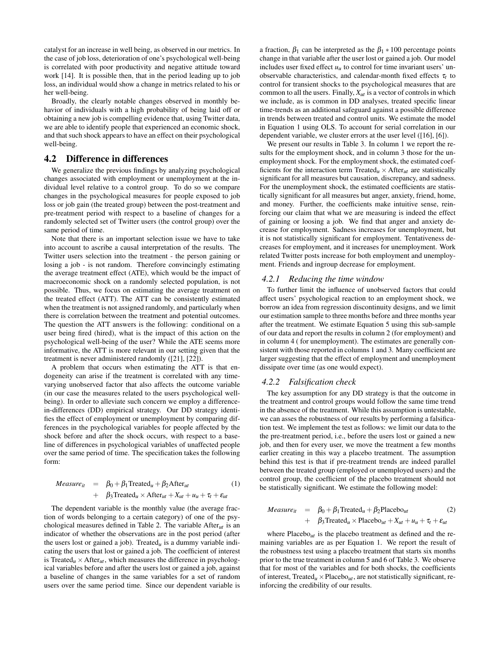catalyst for an increase in well being, as observed in our metrics. In the case of job loss, deterioration of one's psychological well-being is correlated with poor productivity and negative attitude toward work [14]. It is possible then, that in the period leading up to job loss, an individual would show a change in metrics related to his or her well-being.

Broadly, the clearly notable changes observed in monthly behavior of individuals with a high probability of being laid off or obtaining a new job is compelling evidence that, using Twitter data, we are able to identify people that experienced an economic shock, and that such shock appears to have an effect on their psychological well-being.

# 4.2 Difference in differences

We generalize the previous findings by analyzing psychological changes associated with employment or unemployment at the individual level relative to a control group. To do so we compare changes in the psychological measures for people exposed to job loss or job gain (the treated group) between the post-treatment and pre-treatment period with respect to a baseline of changes for a randomly selected set of Twitter users (the control group) over the same period of time.

Note that there is an important selection issue we have to take into account to ascribe a causal interpretation of the results. The Twitter users selection into the treatment - the person gaining or losing a job - is not random. Therefore convincingly estimating the average treatment effect (ATE), which would be the impact of macroeconomic shock on a randomly selected population, is not possible. Thus, we focus on estimating the average treatment on the treated effect (ATT). The ATT can be consistently estimated when the treatment is not assigned randomly, and particularly when there is correlation between the treatment and potential outcomes. The question the ATT answers is the following: conditional on a user being fired (hired), what is the impact of this action on the psychological well-being of the user? While the ATE seems more informative, the ATT is more relevant in our setting given that the treatment is never administered randomly ([21], [22]).

A problem that occurs when estimating the ATT is that endogeneity can arise if the treatment is correlated with any timevarying unobserved factor that also affects the outcome variable (in our case the measures related to the users psychological wellbeing). In order to alleviate such concern we employ a differencein-differences (DD) empirical strategy. Our DD strategy identifies the effect of employment or unemployment by comparing differences in the psychological variables for people affected by the shock before and after the shock occurs, with respect to a baseline of differences in psychological variables of unaffected people over the same period of time. The specification takes the following form:

$$
Measure_{it} = \beta_0 + \beta_1 \text{Treated}_{u} + \beta_2 \text{After}_{ut}
$$
  
+  $\beta_3 \text{Treated}_{u} \times \text{After}_{ut} + X_{ut} + u_u + \tau_t + \varepsilon_{ut}$  (1)

The dependent variable is the monthly value (the average fraction of words belonging to a certain category) of one of the psychological measures defined in Table 2. The variable After*ut* is an indicator of whether the observations are in the post period (after the users lost or gained a job). Treated<sub>u</sub> is a dummy variable indicating the users that lost or gained a job. The coefficient of interest is Treated<sub>u</sub>  $\times$  After<sub>ut</sub>, which measures the difference in psychological variables before and after the users lost or gained a job, against a baseline of changes in the same variables for a set of random users over the same period time. Since our dependent variable is

a fraction,  $\beta_1$  can be interpreted as the  $\beta_1 * 100$  percentage points change in that variable after the user lost or gained a job. Our model includes user fixed effect  $u<sub>u</sub>$  to control for time invariant users' unobservable characteristics, and calendar-month fixed effects  $\tau_t$  to control for transient shocks to the psychological measures that are common to all the users. Finally, *Xut* is a vector of controls in which we include, as is common in DD analyses, treated specific linear time-trends as an additional safeguard against a possible difference in trends between treated and control units. We estimate the model in Equation 1 using OLS. To account for serial correlation in our dependent variable, we cluster errors at the user level ([16], [6]).

We present our results in Table 3. In column 1 we report the results for the employment shock, and in column 3 those for the unemployment shock. For the employment shock, the estimated coefficients for the interaction term  $Treated_u \times After_{ut}$  are statistically significant for all measures but causation, discrepancy, and sadness. For the unemployment shock, the estimated coefficients are statistically significant for all measures but anger, anxiety, friend, home, and money. Further, the coefficients make intuitive sense, reinforcing our claim that what we are measuring is indeed the effect of gaining or loosing a job. We find that anger and anxiety decrease for employment. Sadness increases for unemployment, but it is not statistically significant for employment. Tentativeness decreases for employment, and it increases for unemployment. Work related Twitter posts increase for both employment and unemployment. Friends and ingroup decrease for employment.

#### *4.2.1 Reducing the time window*

To further limit the influence of unobserved factors that could affect users' psychological reaction to an employment shock, we borrow an idea from regression discontinuity designs, and we limit our estimation sample to three months before and three months year after the treatment. We estimate Equation 5 using this sub-sample of our data and report the results in column 2 (for employment) and in column 4 ( for unemployment). The estimates are generally consistent with those reported in columns 1 and 3. Many coefficient are larger suggesting that the effect of employment and unemployment dissipate over time (as one would expect).

#### *4.2.2 Falsification check*

The key assumption for any DD strategy is that the outcome in the treatment and control groups would follow the same time trend in the absence of the treatment. While this assumption is untestable, we can asses the robustness of our results by performing a falsification test. We implement the test as follows: we limit our data to the the pre-treatment period, i.e., before the users lost or gained a new job, and then for every user, we move the treatment a few months earlier creating in this way a placebo treatment. The assumption behind this test is that if pre-treatment trends are indeed parallel between the treated group (employed or unemployed users) and the control group, the coefficient of the placebo treatment should not be statistically significant. We estimate the following model:

$$
Measure_{it} = \beta_0 + \beta_1 \text{Treated}_{ut} + \beta_2 \text{Placebo}_{ut} \tag{2}
$$
  
+  $\beta_3 \text{Treated}_{ut} \times \text{Placebo}_{ut} + X_{ut} + u_{ut} + \tau_t + \varepsilon_{ut}$ 

where Placebo*ut* is the placebo treatment as defined and the remaining variables are as per Equation 1. We report the result of the robustness test using a placebo treatment that starts six months prior to the true treatment in column 5 and 6 of Table 3. We observe that for most of the variables and for both shocks, the coefficients of interest, Treated<sub>u</sub> × Placebo<sub>ut</sub>, are not statistically significant, reinforcing the credibility of our results.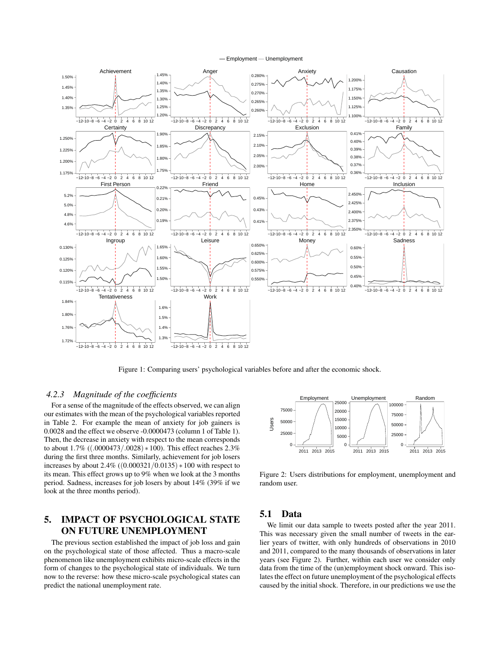

Figure 1: Comparing users' psychological variables before and after the economic shock.

#### *4.2.3 Magnitude of the coefficients*

For a sense of the magnitude of the effects observed, we can align our estimates with the mean of the psychological variables reported in Table 2. For example the mean of anxiety for job gainers is 0.0028 and the effect we observe -0.0000473 (column 1 of Table 1). Then, the decrease in anxiety with respect to the mean corresponds to about 1.7% ((.0000473/.0028) ∗ 100). This effect reaches 2.3% during the first three months. Similarly, achievement for job losers increases by about  $2.4\%$  ((0.000321/0.0135)  $*100$  with respect to its mean. This effect grows up to 9% when we look at the 3 months period. Sadness, increases for job losers by about 14% (39% if we look at the three months period).

# 5. IMPACT OF PSYCHOLOGICAL STATE ON FUTURE UNEMPLOYMENT

The previous section established the impact of job loss and gain on the psychological state of those affected. Thus a macro-scale phenomenon like unemployment exhibits micro-scale effects in the form of changes to the psychological state of individuals. We turn now to the reverse: how these micro-scale psychological states can predict the national unemployment rate.



Figure 2: Users distributions for employment, unemployment and random user.

# 5.1 Data

We limit our data sample to tweets posted after the year 2011. This was necessary given the small number of tweets in the earlier years of twitter, with only hundreds of observations in 2010 and 2011, compared to the many thousands of observations in later years (see Figure 2). Further, within each user we consider only data from the time of the (un)employment shock onward. This isolates the effect on future unemployment of the psychological effects caused by the initial shock. Therefore, in our predictions we use the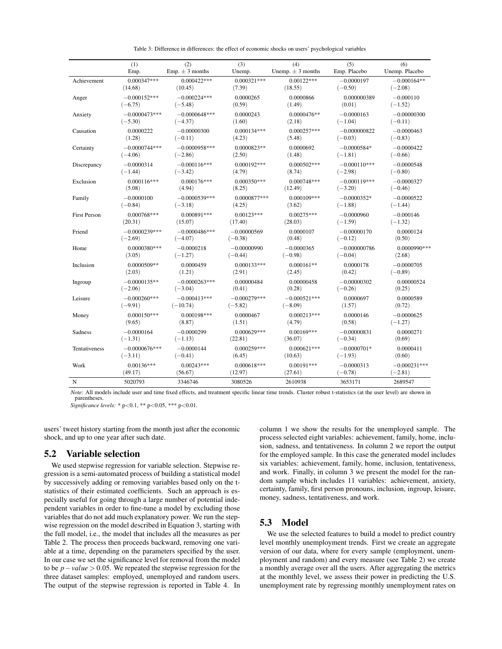|                     | (1)             | (2)                 | (3)            | (4)                   | (5)            | (6)            |
|---------------------|-----------------|---------------------|----------------|-----------------------|----------------|----------------|
|                     | Emp.            | Emp. $\pm$ 3 months | Unemp.         | Unemp. $\pm$ 3 months | Emp. Placebo   | Unemp. Placebo |
| Achievement         | $0.000347***$   | $0.000422***$       | $0.000321***$  | $0.00122***$          | $-0.0000197$   | $-0.000164**$  |
|                     | (14.68)         | (10.45)             | (7.39)         | (18.55)               | $(-0.50)$      | $(-2.08)$      |
| Anger               | $-0.000152***$  | $-0.000224***$      | 0.0000265      | 0.0000866             | 0.000000389    | $-0.000110$    |
|                     | $(-6.75)$       | $(-5.48)$           | (0.59)         | (1.49)                | (0.01)         | $(-1.52)$      |
| Anxiety             | $-0.0000473***$ | $-0.0000648***$     | 0.0000243      | $0.0000476**$         | $-0.0000163$   | $-0.00000300$  |
|                     | $(-5.30)$       | $(-4.37)$           | (1.60)         | (2.18)                | $(-1.04)$      | $(-0.11)$      |
| Causation           | 0.0000222       | $-0.00000300$       | $0.000134***$  | $0.000257***$         | $-0.000000822$ | $-0.0000463$   |
|                     | (1.28)          | $(-0.11)$           | (4.23)         | (5.48)                | $(-0.03)$      | $(-0.83)$      |
| Certainty           | $-0.0000744***$ | $-0.0000958***$     | $0.0000823**$  | 0.0000692             | $-0.0000584*$  | $-0.0000422$   |
|                     | $(-4.06)$       | $(-2.86)$           | (2.50)         | (1.48)                | $(-1.81)$      | $(-0.66)$      |
| Discrepancy         | $-0.0000314$    | $-0.000116***$      | $0.000192***$  | $0.000502***$         | $-0.000110***$ | $-0.0000548$   |
|                     | $(-1.44)$       | $(-3.42)$           | (4.79)         | (8.74)                | $(-2.98)$      | $(-0.80)$      |
| Exclusion           | $0.000116***$   | $0.000176***$       | $0.000350***$  | $0.000748***$         | $-0.000119***$ | $-0.0000327$   |
|                     | (5.08)          | (4.94)              | (8.25)         | (12.49)               | $(-3.20)$      | $(-0.46)$      |
| Family              | $-0.0000100$    | $-0.0000539***$     | 0.0000877***   | $0.000109***$         | $-0.0000352*$  | $-0.0000522$   |
|                     | $(-0.84)$       | $(-3.18)$           | (4.25)         | (3.62)                | $(-1.88)$      | $(-1.44)$      |
| <b>First Person</b> | $0.000768***$   | 0.000891***         | $0.00123***$   | $0.00275***$          | $-0.0000960$   | $-0.000146$    |
|                     | (20.31)         | (15.07)             | (17.40)        | (28.03)               | $(-1.59)$      | $(-1.32)$      |
| Friend              | $-0.0000239***$ | $-0.0000486***$     | $-0.00000569$  | 0.0000107             | $-0.00000170$  | 0.0000124      |
|                     | $(-2.69)$       | $(-4.07)$           | $(-0.38)$      | (0.48)                | $(-0.12)$      | (0.50)         |
| Home                | $0.0000380***$  | $-0.0000218$        | $-0.00000990$  | $-0.0000365$          | $-0.000000786$ | $0.0000990***$ |
|                     | (3.05)          | $(-1.27)$           | $(-0.44)$      | $(-0.98)$             | $(-0.04)$      | (2.68)         |
| Inclusion           | $0.0000509**$   | 0.0000459           | $0.000133***$  | $0.000161**$          | 0.0000178      | $-0.0000705$   |
|                     | (2.03)          | (1.21)              | (2.91)         | (2.45)                | (0.42)         | $(-0.89)$      |
| Ingroup             | $-0.0000135**$  | $-0.0000263***$     | 0.00000484     | 0.00000458            | $-0.00000302$  | 0.00000524     |
|                     | $(-2.06)$       | $(-3.04)$           | (0.41)         | (0.28)                | $(-0.26)$      | (0.25)         |
| Leisure             | $-0.000260***$  | $-0.000413***$      | $-0.000279***$ | $-0.000521***$        | 0.0000697      | 0.0000589      |
|                     | $(-9.91)$       | $(-10.74)$          | $(-5.82)$      | $(-8.09)$             | (1.57)         | (0.72)         |
| Money               | $0.000150***$   | 0.000198***         | 0.0000467      | $0.000213***$         | 0.0000146      | $-0.0000625$   |
|                     | (9.65)          | (8.87)              | (1.51)         | (4.79)                | (0.58)         | $(-1.27)$      |
| Sadness             | $-0.0000164$    | $-0.0000299$        | $0.000629***$  | $0.00169***$          | $-0.00000831$  | 0.0000271      |
|                     | $(-1.31)$       | $(-1.13)$           | (22.81)        | (36.07)               | $(-0.34)$      | (0.69)         |
| Tentativeness       | $-0.0000676***$ | $-0.0000144$        | $0.000259***$  | $0.000621***$         | $-0.0000701*$  | 0.0000411      |
|                     | $(-3.11)$       | $(-0.41)$           | (6.45)         | (10.63)               | $(-1.93)$      | (0.60)         |
| Work                | $0.00136***$    | $0.00243***$        | $0.000618***$  | $0.00191***$          | $-0.0000313$   | $-0.000231***$ |
|                     | (49.17)         | (56.67)             | (12.97)        | (27.61)               | $(-0.78)$      | $(-2.81)$      |
| $\mathbf N$         | 5020793         | 3346746             | 3080526        | 2610938               | 3653171        | 2689547        |

Table 3: Difference in differences: the effect of economic shocks on users' psychological variables

*Note:* All models include user and time fixed effects, and treatment specific linear time trends. Cluster robust t-statistics (at the user level) are shown in parentheses.

*Significance levels:* \* p<0.1, \*\* p<0.05, \*\*\* p<0.01.

users' tweet history starting from the month just after the economic shock, and up to one year after such date.

#### 5.2 Variable selection

We used stepwise regression for variable selection. Stepwise regression is a semi-automated process of building a statistical model by successively adding or removing variables based only on the tstatistics of their estimated coefficients. Such an approach is especially useful for going through a large number of potential independent variables in order to fine-tune a model by excluding those variables that do not add much explanatory power. We run the stepwise regression on the model described in Equation 3, starting with the full model, i.e., the model that includes all the measures as per Table 2. The process then proceeds backward, removing one variable at a time, depending on the parameters specified by the user. In our case we set the significance level for removal from the model to be *p*−*value* > 0.05. We repeated the stepwise regression for the three dataset samples: employed, unemployed and random users. The output of the stepwise regression is reported in Table 4. In column 1 we show the results for the unemployed sample. The process selected eight variables: achievement, family, home, inclusion, sadness, and tentativeness. In column 2 we report the output for the employed sample. In this case the generated model includes six variables: achievement, family, home, inclusion, tentativeness, and work. Finally, in column 3 we present the model for the random sample which includes 11 variables: achievement, anxiety, certainty, family, first person pronouns, inclusion, ingroup, leisure, money, sadness, tentativeness, and work.

# 5.3 Model

We use the selected features to build a model to predict country level monthly unemployment trends. First we create an aggregate version of our data, where for every sample (employment, unemployment and random) and every measure (see Table 2) we create a monthly average over all the users. After aggregating the metrics at the monthly level, we assess their power in predicting the U.S. unemployment rate by regressing monthly unemployment rates on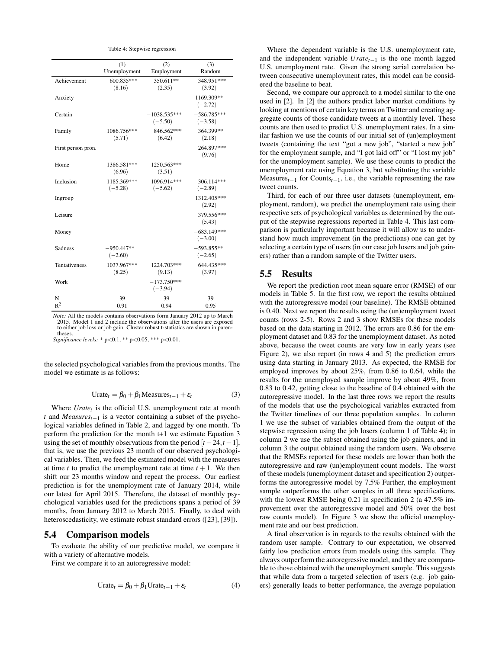Table 4: Stepwise regression

|                    | (1)<br>Unemployment | (2)            | (3)<br>Random |
|--------------------|---------------------|----------------|---------------|
|                    |                     | Employment     |               |
| Achievement        | 600.835***          | 350.611**      | 348.951***    |
|                    | (8.16)              | (2.35)         | (3.92)        |
| Anxiety            |                     |                | $-1169.309**$ |
|                    |                     |                | $(-2.72)$     |
| Certain            |                     | $-1038.535***$ | $-586.785***$ |
|                    |                     | $(-5.50)$      | $(-3.58)$     |
| Family             | 1086.756***         | 846.562***     | 364.399**     |
|                    | (5.71)              | (6.42)         | (2.18)        |
| First person pron. |                     |                | 264.897***    |
|                    |                     |                | (9.76)        |
| Home               | 1386.581***         | 1250.563***    |               |
|                    | (6.96)              | (3.51)         |               |
| Inclusion          | $-1185.369***$      | $-1096.914***$ | $-306.114***$ |
|                    | $(-5.28)$           | $(-5.62)$      | $(-2.89)$     |
| Ingroup            |                     |                | 1312.405***   |
|                    |                     |                | (2.92)        |
| Leisure            |                     |                | 379.556***    |
|                    |                     |                | (5.43)        |
| Money              |                     |                | $-683.149***$ |
|                    |                     |                | $(-3.00)$     |
| Sadness            | $-950.447**$        |                | $-593.855**$  |
|                    | $(-2.60)$           |                | $(-2.65)$     |
| Tentativeness      | 1037.967***         | 1224.703***    | 644.435***    |
|                    | (8.25)              | (9.13)         | (3.97)        |
| Work               |                     | $-173.750***$  |               |
|                    |                     | $(-3.94)$      |               |
| N                  | 39                  | 39             | 39            |
| $R^2$              | 0.91                | 0.94           | 0.95          |

*Note:* All the models contains observations form January 2012 up to March 2015. Model 1 and 2 include the observations after the users are exposed to either job loss or job gain. Cluster robust t-statistics are shown in parentheses.

*Significance levels:* \* p<0.1, \*\* p<0.05, \*\*\* p<0.01.

the selected psychological variables from the previous months. The model we estimate is as follows:

$$
Urate_t = \beta_0 + \beta_1 Measures_{t-1} + \varepsilon_t
$$
 (3)

Where *Uratet* is the official U.S. unemployment rate at month *t* and *Measurest*−<sup>1</sup> is a vector containing a subset of the psychological variables defined in Table 2, and lagged by one month. To perform the prediction for the month t+1 we estimate Equation 3 using the set of monthly observations from the period  $[t-24, t-1]$ , that is, we use the previous 23 month of our observed psychological variables. Then, we feed the estimated model with the measures at time *t* to predict the unemployment rate at time  $t + 1$ . We then shift our 23 months window and repeat the process. Our earliest prediction is for the unemployment rate of January 2014, while our latest for April 2015. Therefore, the dataset of monthly psychological variables used for the predictions spans a period of 39 months, from January 2012 to March 2015. Finally, to deal with heteroscedasticity, we estimate robust standard errors ([23], [39]).

### 5.4 Comparison models

To evaluate the ability of our predictive model, we compare it with a variety of alternative models.

First we compare it to an autoregressive model:

$$
Urate_t = \beta_0 + \beta_1 Urate_{t-1} + \varepsilon_t \tag{4}
$$

Where the dependent variable is the U.S. unemployment rate, and the independent variable *Uratet*−<sup>1</sup> is the one month lagged U.S. unemployment rate. Given the strong serial correlation between consecutive unemployment rates, this model can be considered the baseline to beat.

Second, we compare our approach to a model similar to the one used in [2]. In [2] the authors predict labor market conditions by looking at mentions of certain key terms on Twitter and creating aggregate counts of those candidate tweets at a monthly level. These counts are then used to predict U.S. unemployment rates. In a similar fashion we use the counts of our initial set of (un)employment tweets (containing the text "got a new job", "started a new job" for the employment sample, and "I got laid off" or "I lost my job" for the unemployment sample). We use these counts to predict the unemployment rate using Equation 3, but substituting the variable Measures<sub> $t-1$ </sub> for Counts<sub> $t-1$ </sub>, i.e., the variable representing the raw tweet counts.

Third, for each of our three user datasets (unemployment, employment, random), we predict the unemployment rate using their respective sets of psychological variables as determined by the output of the stepwise regressions reported in Table 4. This last comparison is particularly important because it will allow us to understand how much improvement (in the predictions) one can get by selecting a certain type of users (in our case job losers and job gainers) rather than a random sample of the Twitter users.

#### 5.5 Results

We report the prediction root mean square error (RMSE) of our models in Table 5. In the first row, we report the results obtained with the autoregressive model (our baseline). The RMSE obtained is 0.40. Next we report the results using the (un)employment tweet counts (rows 2-5). Rows 2 and 3 show RMSEs for these models based on the data starting in 2012. The errors are 0.86 for the employment dataset and 0.83 for the unemployment dataset. As noted above, because the tweet counts are very low in early years (see Figure 2), we also report (in rows 4 and 5) the prediction errors using data starting in January 2013. As expected, the RMSE for employed improves by about 25%, from 0.86 to 0.64, while the results for the unemployed sample improve by about 49%, from 0.83 to 0.42, getting close to the baseline of 0.4 obtained with the autoregressive model. In the last three rows we report the results of the models that use the psychological variables extracted from the Twitter timelines of our three population samples. In column 1 we use the subset of variables obtained from the output of the stepwise regression using the job losers (column 1 of Table 4); in column 2 we use the subset obtained using the job gainers, and in column 3 the output obtained using the random users. We observe that the RMSEs reported for these models are lower than both the autoregressive and raw (un)employment count models. The worst of these models (unemployment dataset and specification 2) outperforms the autoregressive model by 7.5% Further, the employment sample outperforms the other samples in all three specifications, with the lowest RMSE being 0.21 in specification 2 (a 47.5% improvement over the autoregressive model and 50% over the best raw counts model). In Figure 3 we show the official unemployment rate and our best prediction.

A final observation is in regards to the results obtained with the random user sample. Contrary to our expectation, we observed fairly low prediction errors from models using this sample. They always outperform the autoregressive model, and they are comparable to those obtained with the unemployment sample. This suggests that while data from a targeted selection of users (e.g. job gainers) generally leads to better performance, the average population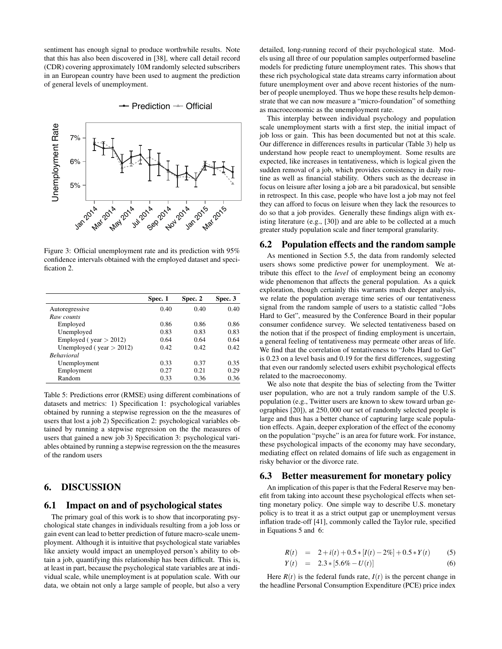sentiment has enough signal to produce worthwhile results. Note that this has also been discovered in [38], where call detail record (CDR) covering approximately 10M randomly selected subscribers in an European country have been used to augment the prediction of general levels of unemployment.



Figure 3: Official unemployment rate and its prediction with 95% confidence intervals obtained with the employed dataset and specification 2.

|                              | Spec. 1 | Spec. 2 | Spec. 3 |
|------------------------------|---------|---------|---------|
| Autoregressive               | 0.40    | 0.40    | 0.40    |
| Raw counts                   |         |         |         |
| Employed                     | 0.86    | 0.86    | 0.86    |
| Unemployed                   | 0.83    | 0.83    | 0.83    |
| Employed ( $year > 2012$ )   | 0.64    | 0.64    | 0.64    |
| Unemployed ( $year > 2012$ ) | 0.42    | 0.42    | 0.42    |
| <b>Behavioral</b>            |         |         |         |
| Unemployment                 | 0.33    | 0.37    | 0.35    |
| Employment                   | 0.27    | 0.21    | 0.29    |
| Random                       | 0.33    | 0.36    | 0.36    |
|                              |         |         |         |

Table 5: Predictions error (RMSE) using different combinations of datasets and metrics: 1) Specification 1: psychological variables obtained by running a stepwise regression on the the measures of users that lost a job 2) Specification 2: psychological variables obtained by running a stepwise regression on the the measures of users that gained a new job 3) Specification 3: psychological variables obtained by running a stepwise regression on the the measures of the random users

# 6. DISCUSSION

# 6.1 Impact on and of psychological states

The primary goal of this work is to show that incorporating psychological state changes in individuals resulting from a job loss or gain event can lead to better prediction of future macro-scale unemployment. Although it is intuitive that psychological state variables like anxiety would impact an unemployed person's ability to obtain a job, quantifying this relationship has been difficult. This is, at least in part, because the psychological state variables are at individual scale, while unemployment is at population scale. With our data, we obtain not only a large sample of people, but also a very detailed, long-running record of their psychological state. Models using all three of our population samples outperformed baseline models for predicting future unemployment rates. This shows that these rich psychological state data streams carry information about future unemployment over and above recent histories of the number of people unemployed. Thus we hope these results help demonstrate that we can now measure a "micro-foundation" of something as macroeconomic as the unemployment rate.

This interplay between individual psychology and population scale unemployment starts with a first step, the initial impact of job loss or gain. This has been documented but not at this scale. Our difference in differences results in particular (Table 3) help us understand how people react to unemployment. Some results are expected, like increases in tentativeness, which is logical given the sudden removal of a job, which provides consistency in daily routine as well as financial stability. Others such as the decrease in focus on leisure after losing a job are a bit paradoxical, but sensible in retrospect. In this case, people who have lost a job may not feel they can afford to focus on leisure when they lack the resources to do so that a job provides. Generally these findings align with existing literature (e.g., [30]) and are able to be collected at a much greater study population scale and finer temporal granularity.

#### 6.2 Population effects and the random sample

As mentioned in Section 5.5, the data from randomly selected users shows some predictive power for unemployment. We attribute this effect to the *level* of employment being an economy wide phenomenon that affects the general population. As a quick exploration, though certainly this warrants much deeper analysis, we relate the population average time series of our tentativeness signal from the random sample of users to a statistic called "Jobs Hard to Get", measured by the Conference Board in their popular consumer confidence survey. We selected tentativeness based on the notion that if the prospect of finding employment is uncertain, a general feeling of tentativeness may permeate other areas of life. We find that the correlation of tentativeness to "Jobs Hard to Get" is 0.23 on a level basis and 0.19 for the first differences, suggesting that even our randomly selected users exhibit psychological effects related to the macroeconomy.

We also note that despite the bias of selecting from the Twitter user population, who are not a truly random sample of the U.S. population (e.g., Twitter users are known to skew toward urban geographies [20]), at 250,000 our set of randomly selected people is large and thus has a better chance of capturing large scale population effects. Again, deeper exploration of the effect of the economy on the population "psyche" is an area for future work. For instance, these psychological impacts of the economy may have secondary, mediating effect on related domains of life such as engagement in risky behavior or the divorce rate.

#### 6.3 Better measurement for monetary policy

An implication of this paper is that the Federal Reserve may benefit from taking into account these psychological effects when setting monetary policy. One simple way to describe U.S. monetary policy is to treat it as a strict output gap or unemployment versus inflation trade-off [41], commonly called the Taylor rule, specified in Equations 5 and 6:

$$
R(t) = 2 + i(t) + 0.5 * [I(t) - 2\%] + 0.5 * Y(t)
$$
 (5)

$$
Y(t) = 2.3 * [5.6\% - U(t)] \tag{6}
$$

Here  $R(t)$  is the federal funds rate,  $I(t)$  is the percent change in the headline Personal Consumption Expenditure (PCE) price index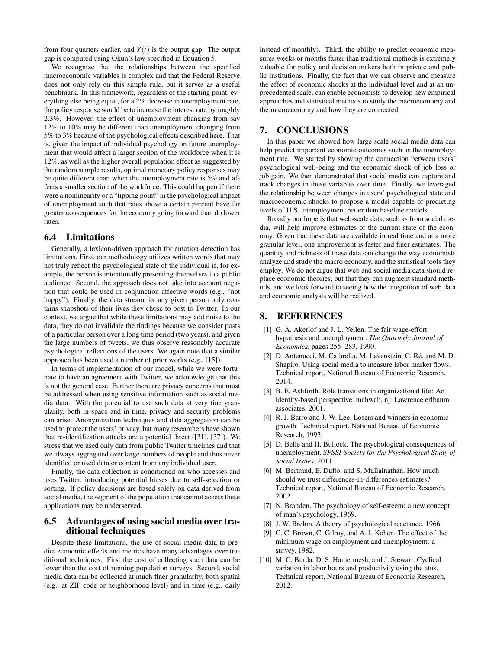from four quarters earlier, and  $Y(t)$  is the output gap. The output gap is computed using Okun's law specified in Equation 5.

We recognize that the relationships between the specified macroeconomic variables is complex and that the Federal Reserve does not only rely on this simple rule, but it serves as a useful benchmark. In this framework, regardless of the starting point, everything else being equal, for a 2% decrease in unemployment rate, the policy response would be to increase the interest rate by roughly 2.3%. However, the effect of unemployment changing from say 12% to 10% may be different than unemployment changing from 5% to 3% because of the psychological effects described here. That is, given the impact of individual psychology on future unemployment that would affect a larger section of the workforce when it is 12%, as well as the higher overall population effect as suggested by the random sample results, optimal monetary policy responses may be quite different than when the unemployment rate is 5% and affects a smaller section of the workforce. This could happen if there were a nonlinearity or a "tipping point" in the psychological impact of unemployment such that rates above a certain percent have far greater consequences for the economy going forward than do lower rates.

### 6.4 Limitations

Generally, a lexicon-driven approach for emotion detection has limitations. First, our methodology utilizes written words that may not truly reflect the psychological state of the individual if, for example, the person is intentionally presenting themselves to a public audience. Second, the approach does not take into account negation that could be used in conjunction affective words (e.g., "not happy"). Finally, the data stream for any given person only contains snapshots of their lives they chose to post to Twitter. In our context, we argue that while these limitations may add noise to the data, they do not invalidate the findings because we consider posts of a particular person over a long time period (two years), and given the large numbers of tweets, we thus observe reasonably accurate psychological reflections of the users. We again note that a similar approach has been used a number of prior works (e.g., [15]).

In terms of implementation of our model, while we were fortunate to have an agreement with Twitter, we acknowledge that this is not the general case. Further there are privacy concerns that must be addressed when using sensitive information such as social media data. With the potential to use such data at very fine granularity, both in space and in time, privacy and security problems can arise. Anonymization techniques and data aggregation can be used to protect the users' privacy, but many researchers have shown that re-identification attacks are a potential threat ([31], [37]). We stress that we used only data from public Twitter timelines and that we always aggregated over large numbers of people and thus never identified or used data or content from any individual user.

Finally, the data collection is conditioned on who accesses and uses Twitter, introducing potential biases due to self-selection or sorting. If policy decisions are based solely on data derived from social media, the segment of the population that cannot access these applications may be underserved.

### 6.5 Advantages of using social media over traditional techniques

Despite these limitations, the use of social media data to predict economic effects and metrics have many advantages over traditional techniques. First the cost of collecting such data can be lower than the cost of running population surveys. Second, social media data can be collected at much finer granularity, both spatial (e.g., at ZIP code or neighborhood level) and in time (e.g., daily

instead of monthly). Third, the ability to predict economic measures weeks or months faster than traditional methods is extremely valuable for policy and decision makers both in private and public institutions. Finally, the fact that we can observe and measure the effect of economic shocks at the individual level and at an unprecedented scale, can enable economists to develop new empirical approaches and statistical methods to study the macroeconomy and the microeconomy and how they are connected.

# 7. CONCLUSIONS

In this paper we showed how large scale social media data can help predict important economic outcomes such as the unemployment rate. We started by showing the connection between users' psychological well-being and the economic shock of job loss or job gain. We then demonstrated that social media can capture and track changes in these variables over time. Finally, we leveraged the relationship between changes in users' psychological state and macroeconomic shocks to propose a model capable of predicting levels of U.S. unemployment better than baseline models.

Broadly our hope is that web-scale data, such as from social media, will help improve estimates of the current state of the economy. Given that these data are available in real time and at a more granular level, one improvement is faster and finer estimates. The quantity and richness of these data can change the way economists analyze and study the macro economy, and the statistical tools they employ. We do not argue that web and social media data should replace economic theories, but that they can augment standard methods, and we look forward to seeing how the integration of web data and economic analysis will be realized.

# 8. REFERENCES

- [1] G. A. Akerlof and J. L. Yellen. The fair wage-effort hypothesis and unemployment. *The Quarterly Journal of Economics*, pages 255–283, 1990.
- [2] D. Antenucci, M. Cafarella, M. Levenstein, C. Ré, and M. D. Shapiro. Using social media to measure labor market flows. Technical report, National Bureau of Economic Research, 2014.
- [3] B. E. Ashforth. Role transitions in organizational life: An identity-based perspective. mahwah, nj: Lawrence erlbaum associates. 2001.
- [4] R. J. Barro and J.-W. Lee. Losers and winners in economic growth. Technical report, National Bureau of Economic Research, 1993.
- [5] D. Belle and H. Bullock. The psychological consequences of unemployment. *SPSSI-Society for the Psychological Study of Social Issues*, 2011.
- [6] M. Bertrand, E. Duflo, and S. Mullainathan. How much should we trust differences-in-differences estimates? Technical report, National Bureau of Economic Research, 2002.
- [7] N. Branden. The psychology of self-esteem: a new concept of man's psychology. 1969.
- [8] J. W. Brehm. A theory of psychological reactance. 1966.
- [9] C. C. Brown, C. Gilroy, and A. I. Kohen. The effect of the minimum wage on employment and unemployment: a survey, 1982.
- [10] M. C. Burda, D. S. Hamermesh, and J. Stewart. Cyclical variation in labor hours and productivity using the atus. Technical report, National Bureau of Economic Research, 2012.